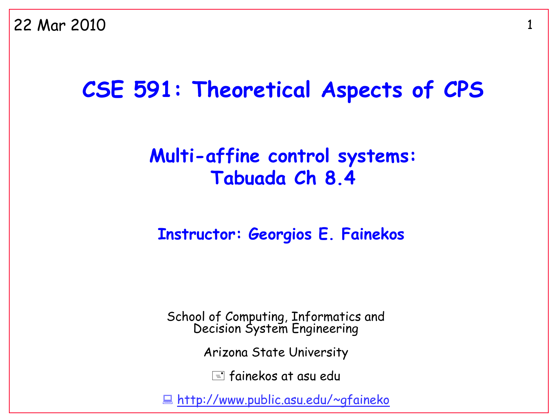#### **CSE 591: Theoretical Aspects of CPS**

#### **Multi-affine control systems: Tabuada Ch 8.4**

#### **Instructor: Georgios E. Fainekos**

School of Computing, Informatics and Decision System Engineering

Arizona State University

 $\equiv$  fainekos at asu edu

<http://www.public.asu.edu/~gfaineko>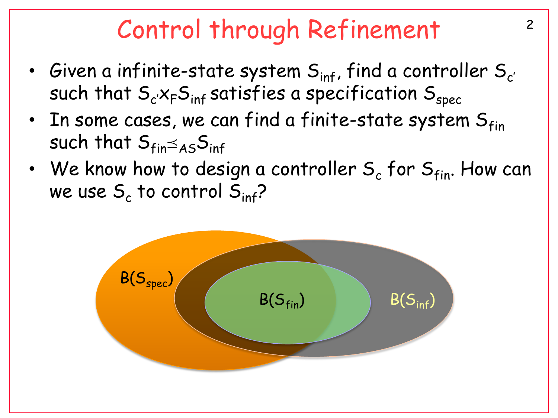## <sup>2</sup> Control through Refinement

- Given a infinite-state system  $S_{\text{inf}}$ , find a controller  $S_{c'}$ such that  $S_{c} \times_{F} S_{inf}$  satisfies a specification  $S_{spec}$
- In some cases, we can find a finite-state system  $S_{fin}$ such that  $S_{fin}\leq_{AS}S_{inf}$
- We know how to design a controller  $S_c$  for  $S<sub>fin</sub>$ . How can we use  $\mathsf{S}_{\mathsf{c}}$  to control  $\mathsf{S}_{\mathsf{inf}}$ ?

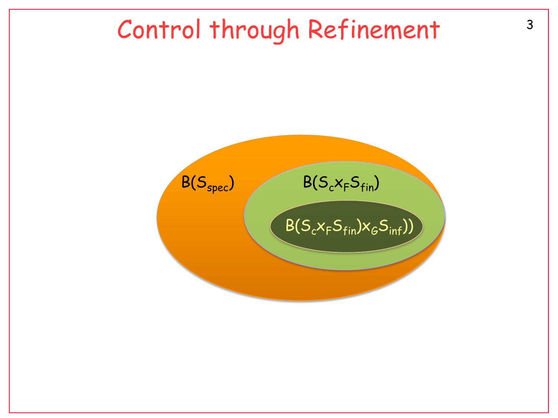### <sup>3</sup> Control through Refinement

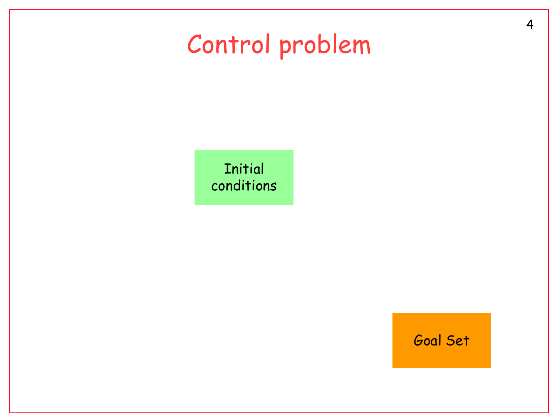# Control problem

**Initial** conditions

Goal Set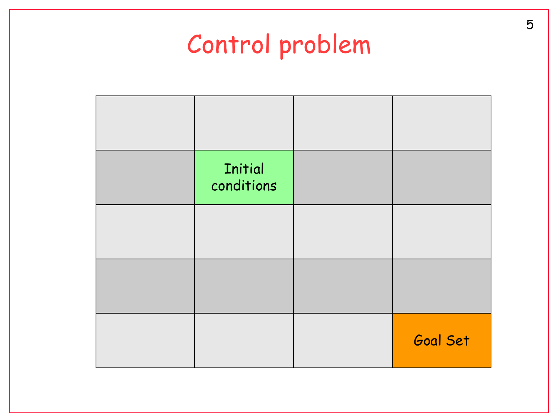# Control problem

| <b>Initial</b><br>conditions |          |
|------------------------------|----------|
|                              |          |
|                              |          |
|                              | Goal Set |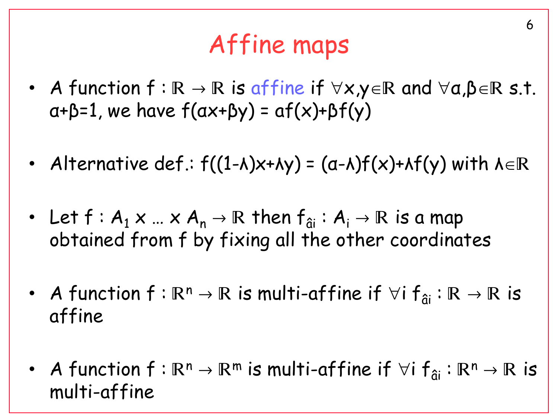# Affine maps

6

- A function  $f : \mathbb{R} \to \mathbb{R}$  is affine if  $\forall x, y \in \mathbb{R}$  and  $\forall a, \beta \in \mathbb{R}$  s.t.  $a+b=1$ , we have  $f(ax+by) = af(x)+bf(y)$
- Alternative def.:  $f((1-\lambda)x+\lambda y) = (a-\lambda)f(x)+\lambda f(y)$  with  $\lambda \in \mathbb{R}$
- Let  $f : A_1 \times ... \times A_n \rightarrow \mathbb{R}$  then  $f_{\hat{a}i} : A_i \rightarrow \mathbb{R}$  is a map obtained from f by fixing all the other coordinates
- A function  $f : \mathbb{R}^n \to \mathbb{R}$  is multi-affine if  $\forall i f_{\hat{a}i} : \mathbb{R} \to \mathbb{R}$  is affine
- A function  $f : \mathbb{R}^n \to \mathbb{R}^m$  is multi-affine if  $\forall i f_{\hat{a}} : \mathbb{R}^n \to \mathbb{R}$  is multi-affine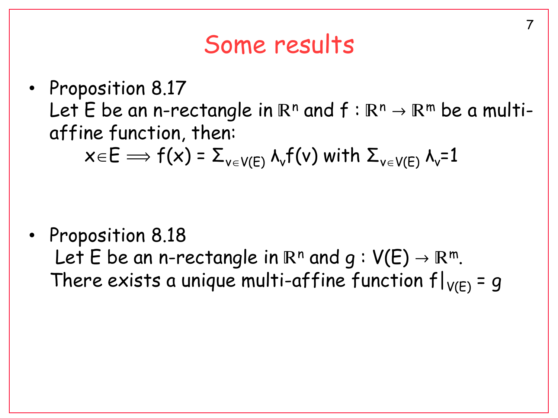#### Some results

• Proposition 8.17 Let E be an n-rectangle in  $\mathbb{R}^n$  and  $f : \mathbb{R}^n \to \mathbb{R}^m$  be a multiaffine function, then:  $x \in E \implies f(x) = \sum_{v \in V(F)} \lambda_v f(v)$  with  $\sum_{v \in V(F)} \lambda_v = 1$ 

• Proposition 8.18 Let E be an n-rectangle in  $\mathbb{R}^n$  and  $q: V(E) \to \mathbb{R}^m$ . There exists a unique multi-affine function  $f|_{V(F)} = g$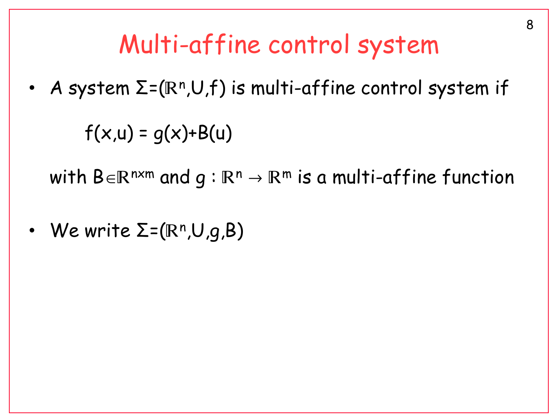## Multi-affine control system

• A system  $\Sigma$ =( $\mathbb{R}^n$ , $\cup$ , $f$ ) is multi-affine control system if

 $f(x, u) = g(x) + B(u)$ 

with  $B \in \mathbb{R}^{n \times m}$  and  $q : \mathbb{R}^n \to \mathbb{R}^m$  is a multi-affine function

• We write  $\Sigma = ( \mathbb{R}^n , \cup , g , B )$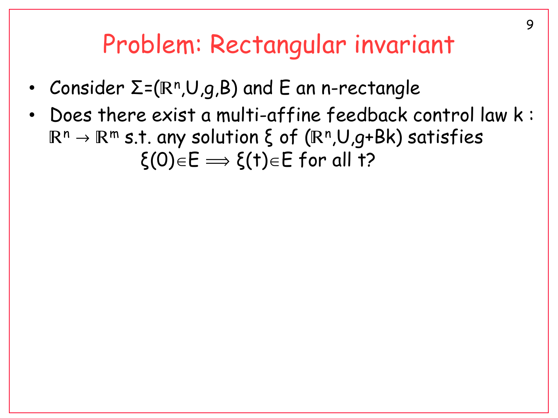#### Problem: Rectangular invariant

- Consider  $\Sigma$ =(R<sup>n</sup>,U,g,B) and E an n-rectangle
- Does there exist a multi-affine feedback control law k :  $\mathbb{R}^{\mathsf{n}} \to \mathbb{R}^{\mathsf{m}}$  s.t. any solution ξ of  $(\mathbb{R}^{\mathsf{n}} , \mathsf{U}, g\text{+Bk})$  satisfies  $\xi(0) \in E \Longrightarrow \xi(t) \in E$  for all t?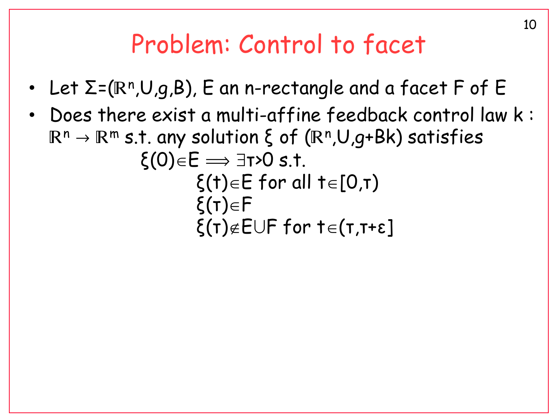### Problem: Control to facet

- Let  $\Sigma$ =(R<sup>n</sup>,U,g,B), E an n-rectangle and a facet F of E
- Does there exist a multi-affine feedback control law k :  $\mathbb{R}^{\mathsf{n}} \to \mathbb{R}^{\mathsf{m}}$  s.t. any solution ξ of  $(\mathbb{R}^{\mathsf{n}} , \mathsf{U}, g\text{+Bk})$  satisfies  $ξ(0)∈E \implies ∃τ>0 s.t.$ ξ(t) $\in$  for all t $\in$ [0,τ)

$$
\xi(\tau) {\in} F
$$
  

$$
\xi(\tau) {\notin} E \cup F \text{ for } \tau {\in} (\tau, \tau + \epsilon]
$$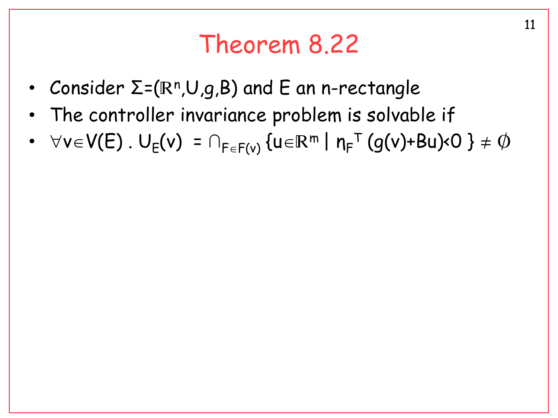#### Theorem 8.22

- Consider  $\Sigma$ =(R<sup>n</sup>,U,g,B) and E an n-rectangle
- The controller invariance problem is solvable if
- $\bullet \quad \forall v \! \in \! \mathsf{V}(\mathsf{E})$  .  $\mathsf{U}_{\mathsf{E}}(v) \; = \cap_{\mathsf{F} \in \mathsf{F}(v)} \, \{ \mathsf{u} \! \in \! \mathbb{R}^{\mathsf{m}} \; \vert \; \mathsf{n}_{\mathsf{F}}^{\mathsf{T}} \; (g(v) \! + \! \mathsf{B} \mathsf{u}) \! \times \! \mathsf{O} \; \} \neq \varnothing$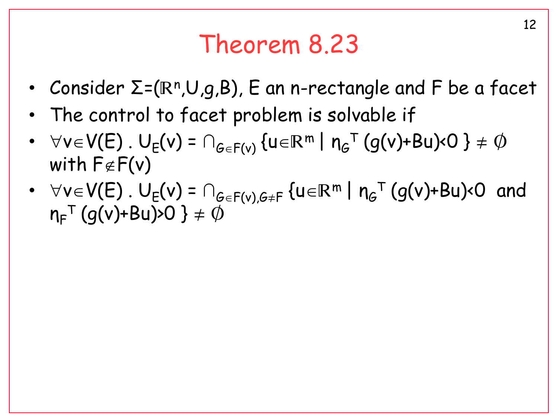### Theorem 8.23

- Consider  $\Sigma$ =(R<sup>n</sup>,U,g,B), E an n-rectangle and F be a facet
- The control to facet problem is solvable if
- $\bullet \quad \forall v \! \in \! \mathsf{V}(\mathsf{E})$  .  $\mathsf{U}_{\mathsf{E}}(v)$  =  $\cap_{\mathsf{G} \in \mathsf{F}(v)}$  { $\mathsf{u} \! \in \! \mathbb{R}^{\mathsf{m}}$  |  $\mathsf{n}_{\mathsf{G}}^{\mathsf{T}}$  (g(v)+Bu)< $\mathsf{O}$  }  $\neq \varnothing$ with  $F \notin F(v)$
- $\forall v \in V(E)$ .  $U_{E}(v) = \bigcap_{G \in F(v), G \neq F} \{u \in \mathbb{R}^{m} \mid n_{G}^{\top}(g(v)+Bu) \times 0 \text{ and }$  $\bm{\eta}_\mathsf{F}^\top \left( g(\bm{\mathsf{v}})\texttt{+} \mathsf{B} \bm{\mathsf{u}} \right) \!\!>\!\! O \; \} \neq \text{\O}$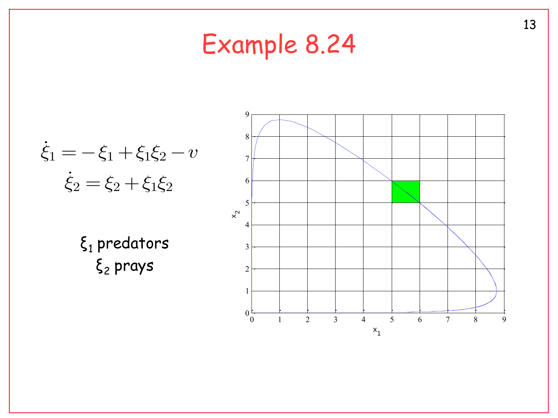# Example 8.24

$$
\dot{\xi}_1 = -\xi_1 + \xi_1 \xi_2 - v
$$

$$
\dot{\xi}_2 = \xi_2 + \xi_1 \xi_2
$$

 $\xi_1$  predators ξ<sup>2</sup> prays

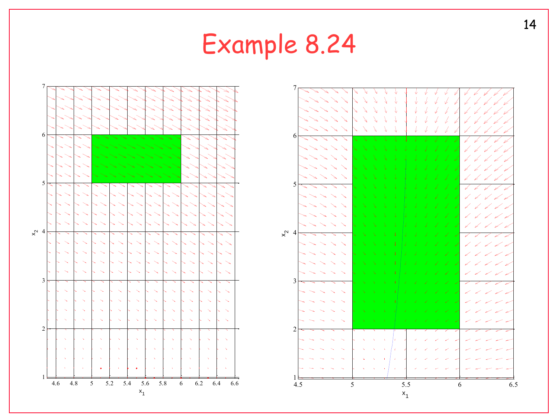# Example 8.24



14